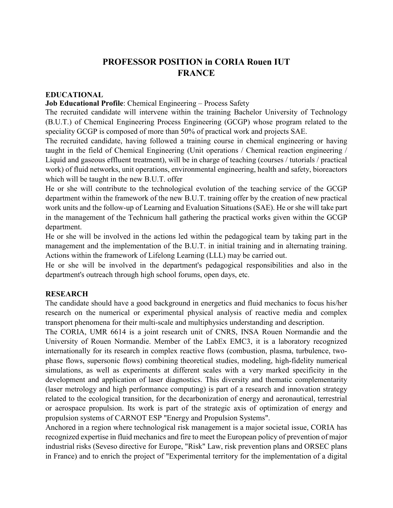# **PROFESSOR POSITION in CORIA Rouen IUT FRANCE**

## **EDUCATIONAL**

#### **Job Educational Profile**: Chemical Engineering – Process Safety

The recruited candidate will intervene within the training Bachelor University of Technology (B.U.T.) of Chemical Engineering Process Engineering (GCGP) whose program related to the speciality GCGP is composed of more than 50% of practical work and projects SAE.

The recruited candidate, having followed a training course in chemical engineering or having taught in the field of Chemical Engineering (Unit operations / Chemical reaction engineering / Liquid and gaseous effluent treatment), will be in charge of teaching (courses / tutorials / practical work) of fluid networks, unit operations, environmental engineering, health and safety, bioreactors which will be taught in the new B.U.T. offer

He or she will contribute to the technological evolution of the teaching service of the GCGP department within the framework of the new B.U.T. training offer by the creation of new practical work units and the follow-up of Learning and Evaluation Situations (SAE). He or she will take part in the management of the Technicum hall gathering the practical works given within the GCGP department.

He or she will be involved in the actions led within the pedagogical team by taking part in the management and the implementation of the B.U.T. in initial training and in alternating training. Actions within the framework of Lifelong Learning (LLL) may be carried out.

He or she will be involved in the department's pedagogical responsibilities and also in the department's outreach through high school forums, open days, etc.

### **RESEARCH**

The candidate should have a good background in energetics and fluid mechanics to focus his/her research on the numerical or experimental physical analysis of reactive media and complex transport phenomena for their multi-scale and multiphysics understanding and description.

The CORIA, UMR 6614 is a joint research unit of CNRS, INSA Rouen Normandie and the University of Rouen Normandie. Member of the LabEx EMC3, it is a laboratory recognized internationally for its research in complex reactive flows (combustion, plasma, turbulence, twophase flows, supersonic flows) combining theoretical studies, modeling, high-fidelity numerical simulations, as well as experiments at different scales with a very marked specificity in the development and application of laser diagnostics. This diversity and thematic complementarity (laser metrology and high performance computing) is part of a research and innovation strategy related to the ecological transition, for the decarbonization of energy and aeronautical, terrestrial or aerospace propulsion. Its work is part of the strategic axis of optimization of energy and propulsion systems of CARNOT ESP "Energy and Propulsion Systems".

Anchored in a region where technological risk management is a major societal issue, CORIA has recognized expertise in fluid mechanics and fire to meet the European policy of prevention of major industrial risks (Seveso directive for Europe, "Risk" Law, risk prevention plans and ORSEC plans in France) and to enrich the project of "Experimental territory for the implementation of a digital